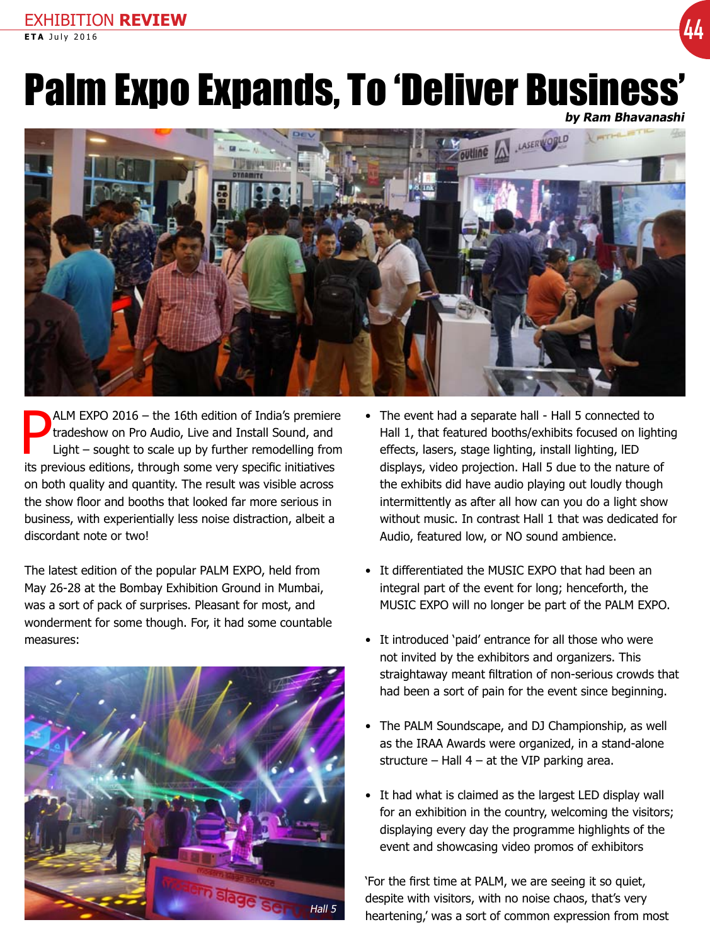# EXHIBITION **REVIEW EXAMPLE TOW REVIEW (44)**

# Palm Expo Expands, To 'Deliver Business'

**by Ram Bhavanashi**



P ALM EXPO 2016 – the 16th edition of India's premiere tradeshow on Pro Audio, Live and Install Sound, and Light – sought to scale up by further remodelling from its previous editions, through some very specific initiatives on both quality and quantity. The result was visible across the show floor and booths that looked far more serious in business, with experientially less noise distraction, albeit a discordant note or two!

The latest edition of the popular PALM EXPO, held from May 26-28 at the Bombay Exhibition Ground in Mumbai, was a sort of pack of surprises. Pleasant for most, and wonderment for some though. For, it had some countable measures:



- The event had a separate hall Hall 5 connected to Hall 1, that featured booths/exhibits focused on lighting effects, lasers, stage lighting, install lighting, lED displays, video projection. Hall 5 due to the nature of the exhibits did have audio playing out loudly though intermittently as after all how can you do a light show without music. In contrast Hall 1 that was dedicated for Audio, featured low, or NO sound ambience.
- It differentiated the MUSIC EXPO that had been an integral part of the event for long; henceforth, the MUSIC EXPO will no longer be part of the PALM EXPO.
- It introduced 'paid' entrance for all those who were not invited by the exhibitors and organizers. This straightaway meant filtration of non-serious crowds that had been a sort of pain for the event since beginning.
- The PALM Soundscape, and DJ Championship, as well as the IRAA Awards were organized, in a stand-alone structure – Hall  $4 - at$  the VIP parking area.
- It had what is claimed as the largest LED display wall for an exhibition in the country, welcoming the visitors; displaying every day the programme highlights of the event and showcasing video promos of exhibitors

'For the first time at PALM, we are seeing it so quiet, despite with visitors, with no noise chaos, that's very Hall 5 beartening, was a sort of common expression from most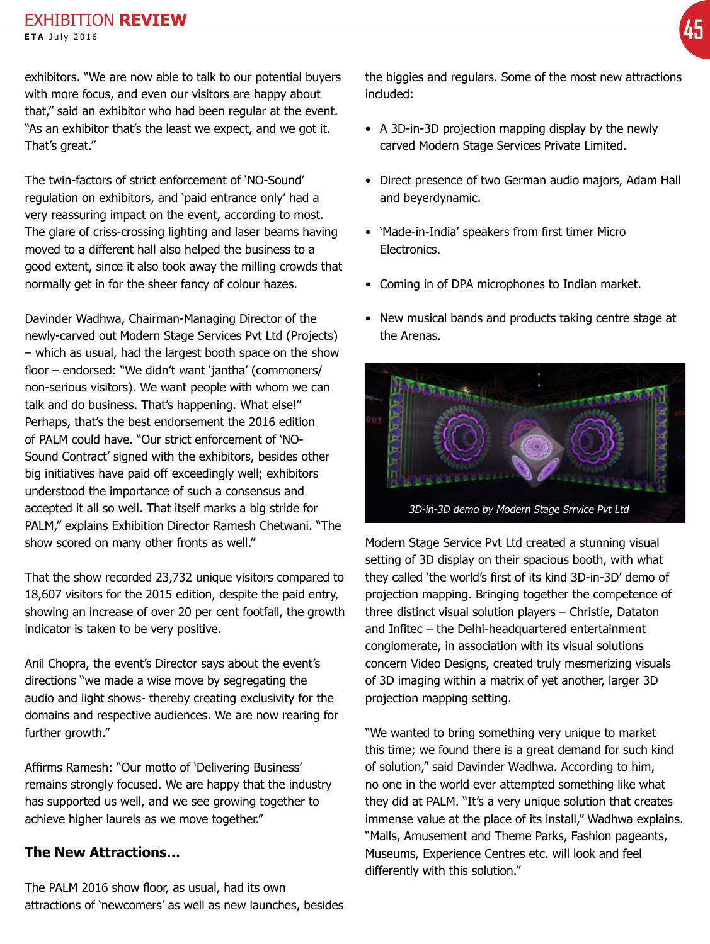exhibitors. "We are now able to talk to our potential buyers with more focus, and even our visitors are happy about that," said an exhibitor who had been regular at the event. "As an exhibitor that's the least we expect, and we got it. That's great."

The twin-factors of strict enforcement of 'NO-Sound' regulation on exhibitors, and 'paid entrance only' had a very reassuring impact on the event, according to most. The glare of criss-crossing lighting and laser beams having moved to a different hall also helped the business to a good extent, since it also took away the milling crowds that normally get in for the sheer fancy of colour hazes.

Davinder Wadhwa, Chairman-Managing Director of the newly-carved out Modern Stage Services Pvt Ltd (Projects) – which as usual, had the largest booth space on the show floor – endorsed: "We didn't want 'jantha' (commoners/ non-serious visitors). We want people with whom we can talk and do business. That's happening. What else!" Perhaps, that's the best endorsement the 2016 edition of PALM could have. "Our strict enforcement of 'NO-Sound Contract' signed with the exhibitors, besides other big initiatives have paid off exceedingly well; exhibitors understood the importance of such a consensus and accepted it all so well. That itself marks a big stride for PALM," explains Exhibition Director Ramesh Chetwani. "The show scored on many other fronts as well."

That the show recorded 23,732 unique visitors compared to 18,607 visitors for the 2015 edition, despite the paid entry, showing an increase of over 20 per cent footfall, the growth indicator is taken to be very positive.

Anil Chopra, the event's Director says about the event's directions "we made a wise move by segregating the audio and light shows- thereby creating exclusivity for the domains and respective audiences. We are now rearing for further growth."

Affirms Ramesh: "Our motto of 'Delivering Business' remains strongly focused. We are happy that the industry has supported us well, and we see growing together to achieve higher laurels as we move together."

### **The New Attractions…**

The PALM 2016 show floor, as usual, had its own attractions of 'newcomers' as well as new launches, besides the biggies and regulars. Some of the most new attractions included:

- A 3D-in-3D projection mapping display by the newly carved Modern Stage Services Private Limited.
- Direct presence of two German audio majors, Adam Hall and beyerdynamic.
- 'Made-in-India' speakers from first timer Micro **Electronics**
- Coming in of DPA microphones to Indian market.
- New musical bands and products taking centre stage at the Arenas.



Modern Stage Service Pvt Ltd created a stunning visual setting of 3D display on their spacious booth, with what they called 'the world's first of its kind 3D-in-3D' demo of projection mapping. Bringing together the competence of three distinct visual solution players – Christie, Dataton and Infitec – the Delhi-headquartered entertainment conglomerate, in association with its visual solutions concern Video Designs, created truly mesmerizing visuals of 3D imaging within a matrix of yet another, larger 3D projection mapping setting.

"We wanted to bring something very unique to market this time; we found there is a great demand for such kind of solution," said Davinder Wadhwa. According to him, no one in the world ever attempted something like what they did at PALM. "It's a very unique solution that creates immense value at the place of its install," Wadhwa explains. "Malls, Amusement and Theme Parks, Fashion pageants, Museums, Experience Centres etc. will look and feel differently with this solution."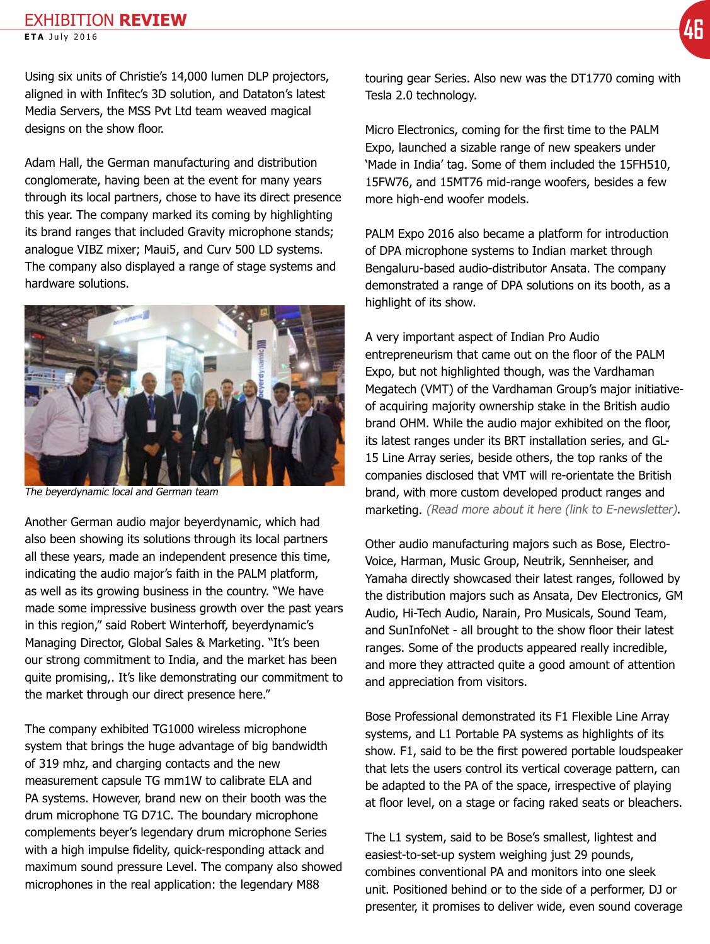## **EXHIBITION REVIEW EXAMPLE TOW REVIEW (46**<br>ETA July 2016 **46**

Using six units of Christie's 14,000 lumen DLP projectors, aligned in with Infitec's 3D solution, and Dataton's latest Media Servers, the MSS Pvt Ltd team weaved magical designs on the show floor.

Adam Hall, the German manufacturing and distribution conglomerate, having been at the event for many years through its local partners, chose to have its direct presence this year. The company marked its coming by highlighting its brand ranges that included Gravity microphone stands; analogue VIBZ mixer; Maui5, and Curv 500 LD systems. The company also displayed a range of stage systems and hardware solutions.



The beyerdynamic local and German team

Another German audio major beyerdynamic, which had also been showing its solutions through its local partners all these years, made an independent presence this time, indicating the audio major's faith in the PALM platform, as well as its growing business in the country. "We have made some impressive business growth over the past years in this region," said Robert Winterhoff, beyerdynamic's Managing Director, Global Sales & Marketing. "It's been our strong commitment to India, and the market has been quite promising,. It's like demonstrating our commitment to the market through our direct presence here."

The company exhibited TG1000 wireless microphone system that brings the huge advantage of big bandwidth of 319 mhz, and charging contacts and the new measurement capsule TG mm1W to calibrate ELA and PA systems. However, brand new on their booth was the drum microphone TG D71C. The boundary microphone complements beyer's legendary drum microphone Series with a high impulse fidelity, quick-responding attack and maximum sound pressure Level. The company also showed microphones in the real application: the legendary M88

touring gear Series. Also new was the DT1770 coming with Tesla 2.0 technology.

Micro Electronics, coming for the first time to the PALM Expo, launched a sizable range of new speakers under 'Made in India' tag. Some of them included the 15FH510, 15FW76, and 15MT76 mid-range woofers, besides a few more high-end woofer models.

PALM Expo 2016 also became a platform for introduction of DPA microphone systems to Indian market through Bengaluru-based audio-distributor Ansata. The company demonstrated a range of DPA solutions on its booth, as a highlight of its show.

A very important aspect of Indian Pro Audio entrepreneurism that came out on the floor of the PALM Expo, but not highlighted though, was the Vardhaman Megatech (VMT) of the Vardhaman Group's major initiativeof acquiring majority ownership stake in the British audio brand OHM. While the audio major exhibited on the floor, its latest ranges under its BRT installation series, and GL-15 Line Array series, beside others, the top ranks of the companies disclosed that VMT will re-orientate the British brand, with more custom developed product ranges and marketing. (Read more about it here (link to E-newsletter).

Other audio manufacturing majors such as Bose, Electro-Voice, Harman, Music Group, Neutrik, Sennheiser, and Yamaha directly showcased their latest ranges, followed by the distribution majors such as Ansata, Dev Electronics, GM Audio, Hi-Tech Audio, Narain, Pro Musicals, Sound Team, and SunInfoNet - all brought to the show floor their latest ranges. Some of the products appeared really incredible, and more they attracted quite a good amount of attention and appreciation from visitors.

Bose Professional demonstrated its F1 Flexible Line Array systems, and L1 Portable PA systems as highlights of its show. F1, said to be the first powered portable loudspeaker that lets the users control its vertical coverage pattern, can be adapted to the PA of the space, irrespective of playing at floor level, on a stage or facing raked seats or bleachers.

The L1 system, said to be Bose's smallest, lightest and easiest-to-set-up system weighing just 29 pounds, combines conventional PA and monitors into one sleek unit. Positioned behind or to the side of a performer, DJ or presenter, it promises to deliver wide, even sound coverage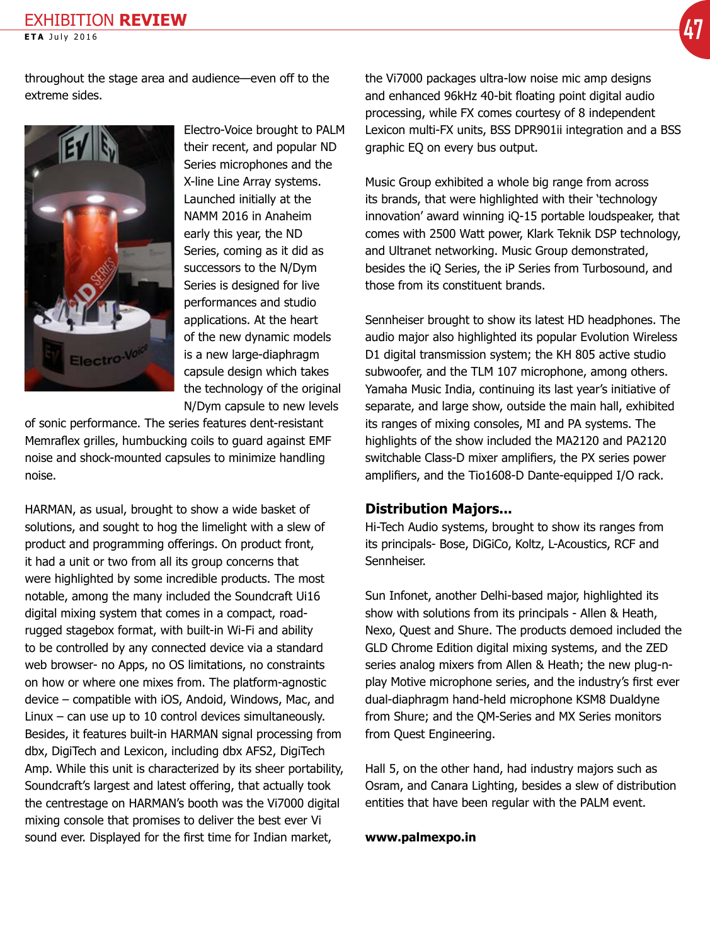throughout the stage area and audience—even off to the extreme sides.



Electro-Voice brought to PALM their recent, and popular ND Series microphones and the X-line Line Array systems. Launched initially at the NAMM 2016 in Anaheim early this year, the ND Series, coming as it did as successors to the N/Dym Series is designed for live performances and studio applications. At the heart of the new dynamic models is a new large-diaphragm capsule design which takes the technology of the original N/Dym capsule to new levels

of sonic performance. The series features dent-resistant Memraflex grilles, humbucking coils to guard against EMF noise and shock-mounted capsules to minimize handling noise.

HARMAN, as usual, brought to show a wide basket of solutions, and sought to hog the limelight with a slew of product and programming offerings. On product front, it had a unit or two from all its group concerns that were highlighted by some incredible products. The most notable, among the many included the Soundcraft Ui16 digital mixing system that comes in a compact, roadrugged stagebox format, with built-in Wi-Fi and ability to be controlled by any connected device via a standard web browser- no Apps, no OS limitations, no constraints on how or where one mixes from. The platform-agnostic device – compatible with iOS, Andoid, Windows, Mac, and Linux – can use up to 10 control devices simultaneously. Besides, it features built-in HARMAN signal processing from dbx, DigiTech and Lexicon, including dbx AFS2, DigiTech Amp. While this unit is characterized by its sheer portability, Soundcraft's largest and latest offering, that actually took the centrestage on HARMAN's booth was the Vi7000 digital mixing console that promises to deliver the best ever Vi sound ever. Displayed for the first time for Indian market,

the Vi7000 packages ultra-low noise mic amp designs and enhanced 96kHz 40-bit floating point digital audio processing, while FX comes courtesy of 8 independent Lexicon multi-FX units, BSS DPR901ii integration and a BSS graphic EQ on every bus output.

Music Group exhibited a whole big range from across its brands, that were highlighted with their 'technology innovation' award winning iQ-15 portable loudspeaker, that comes with 2500 Watt power, Klark Teknik DSP technology, and Ultranet networking. Music Group demonstrated, besides the iQ Series, the iP Series from Turbosound, and those from its constituent brands.

Sennheiser brought to show its latest HD headphones. The audio major also highlighted its popular Evolution Wireless D1 digital transmission system; the KH 805 active studio subwoofer, and the TLM 107 microphone, among others. Yamaha Music India, continuing its last year's initiative of separate, and large show, outside the main hall, exhibited its ranges of mixing consoles, MI and PA systems. The highlights of the show included the MA2120 and PA2120 switchable Class-D mixer amplifiers, the PX series power amplifiers, and the Tio1608-D Dante-equipped I/O rack.

#### **Distribution Majors...**

Hi-Tech Audio systems, brought to show its ranges from its principals- Bose, DiGiCo, Koltz, L-Acoustics, RCF and Sennheiser.

Sun Infonet, another Delhi-based major, highlighted its show with solutions from its principals - Allen & Heath, Nexo, Quest and Shure. The products demoed included the GLD Chrome Edition digital mixing systems, and the ZED series analog mixers from Allen & Heath; the new plug-nplay Motive microphone series, and the industry's first ever dual-diaphragm hand-held microphone KSM8 Dualdyne from Shure; and the QM-Series and MX Series monitors from Quest Engineering.

Hall 5, on the other hand, had industry majors such as Osram, and Canara Lighting, besides a slew of distribution entities that have been regular with the PALM event.

#### **[www.palmexpo.in](http://www.palmexpo.in)**